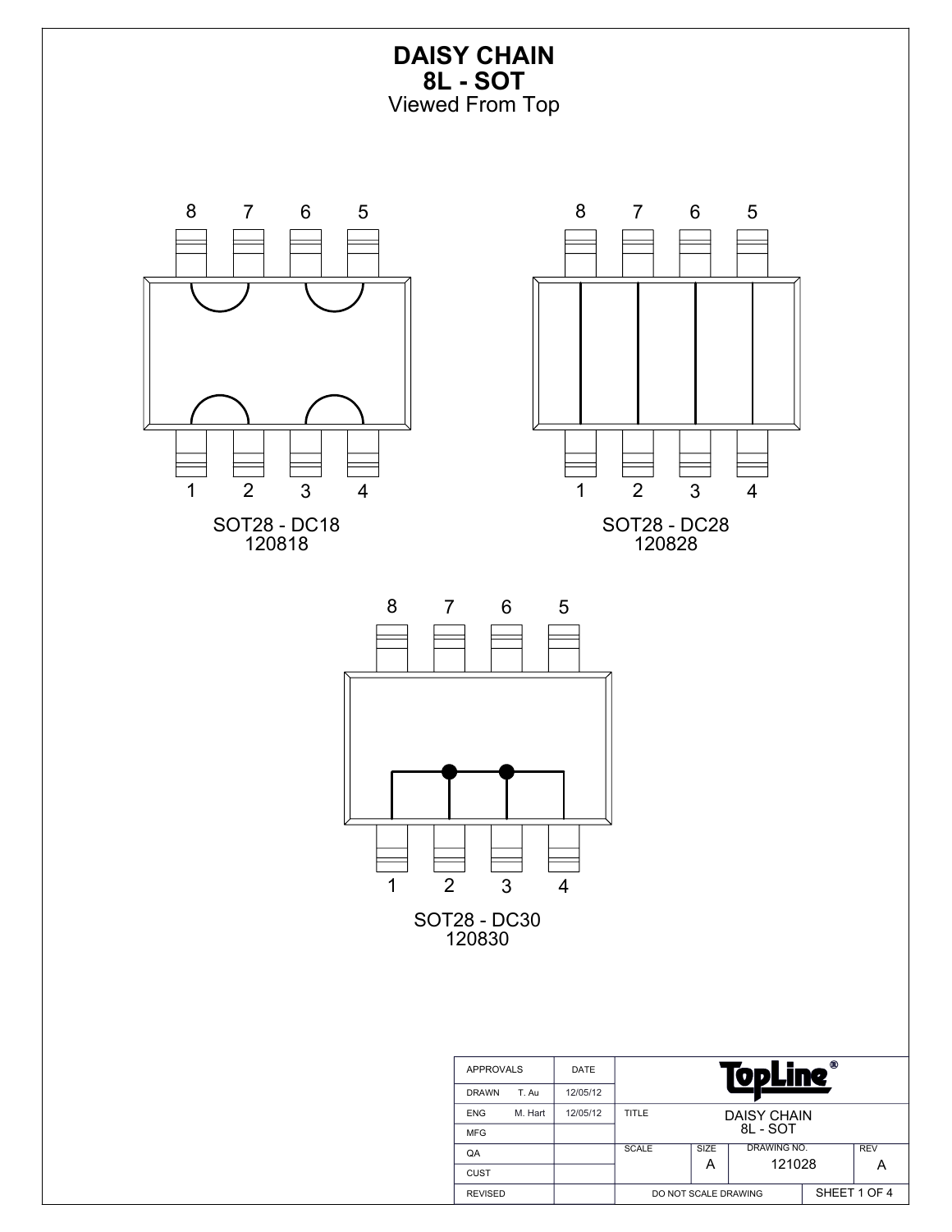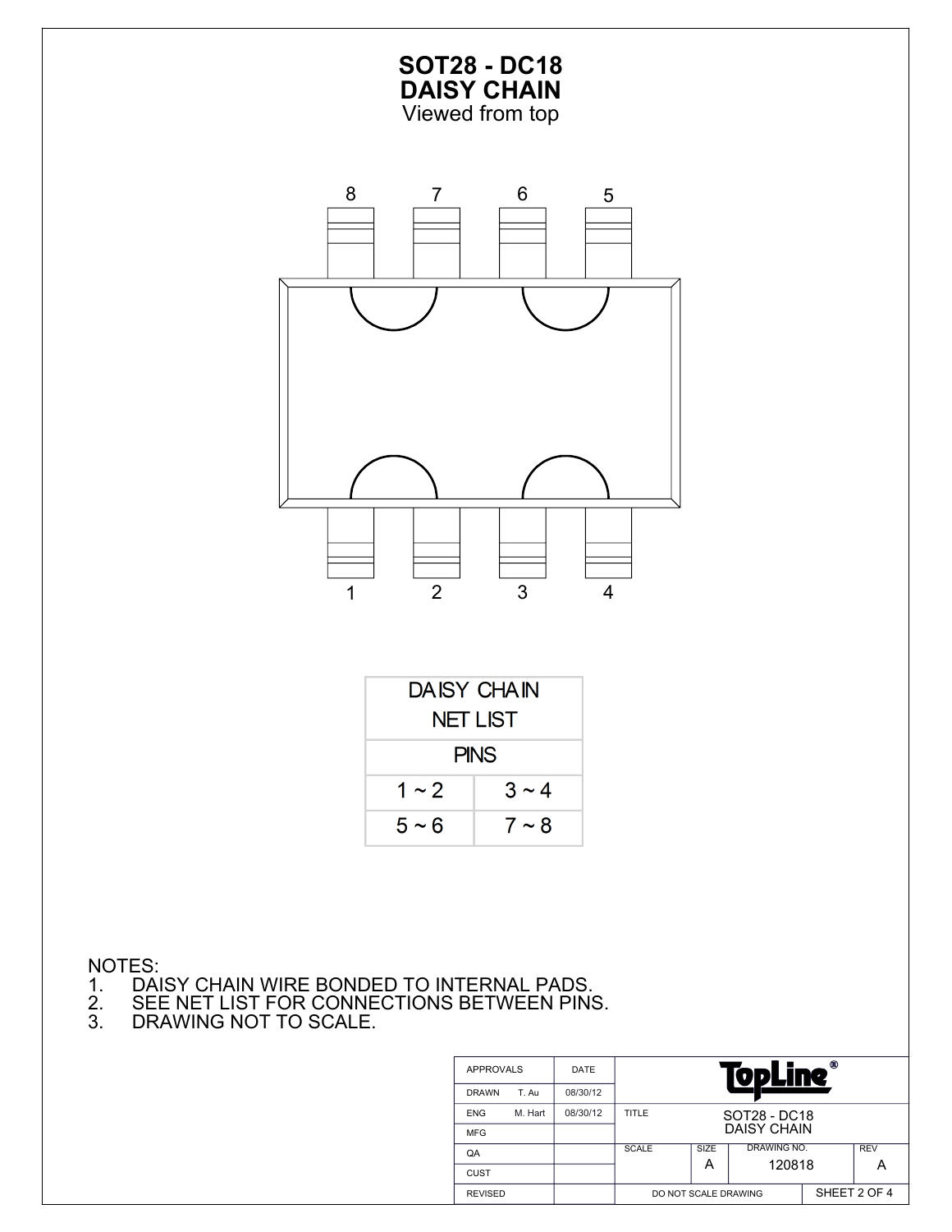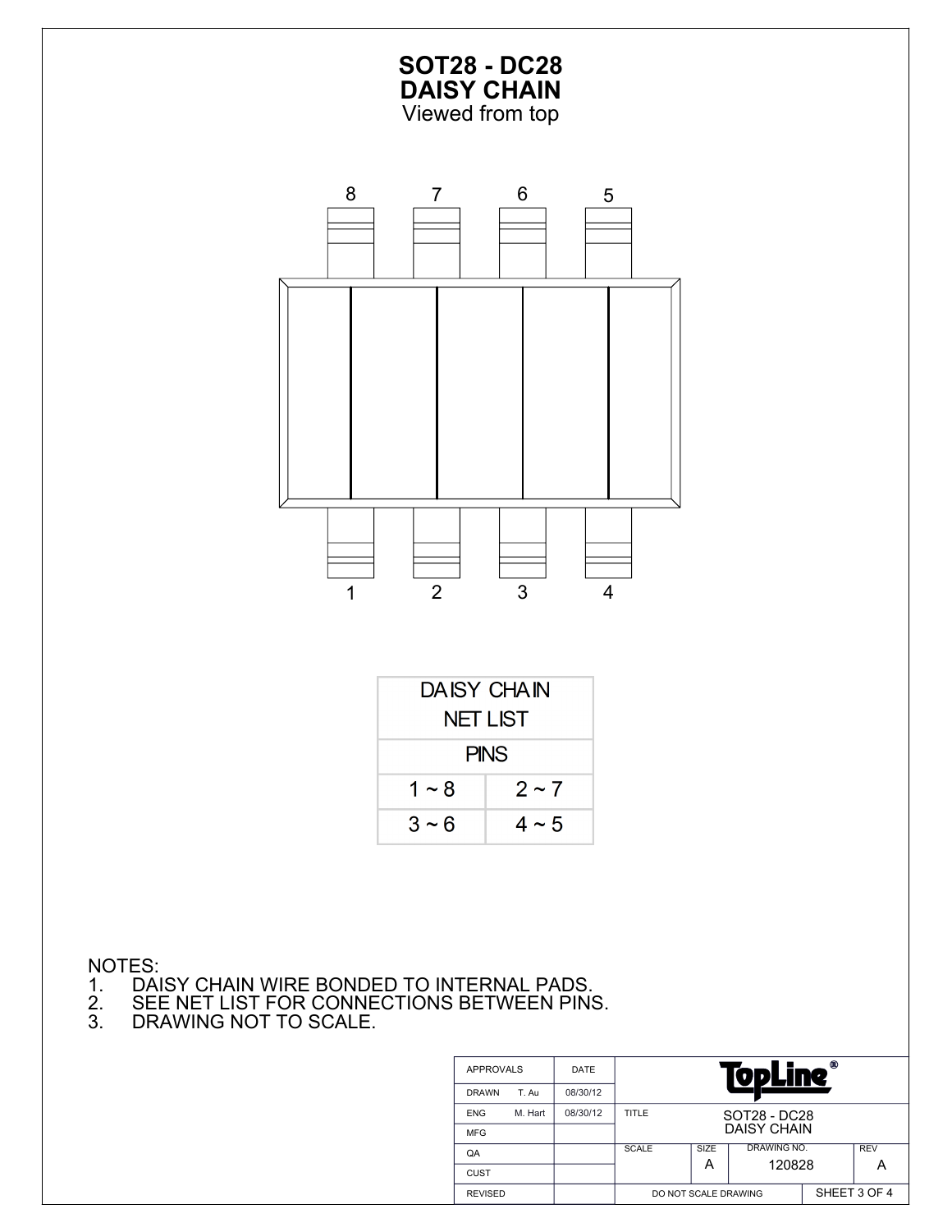